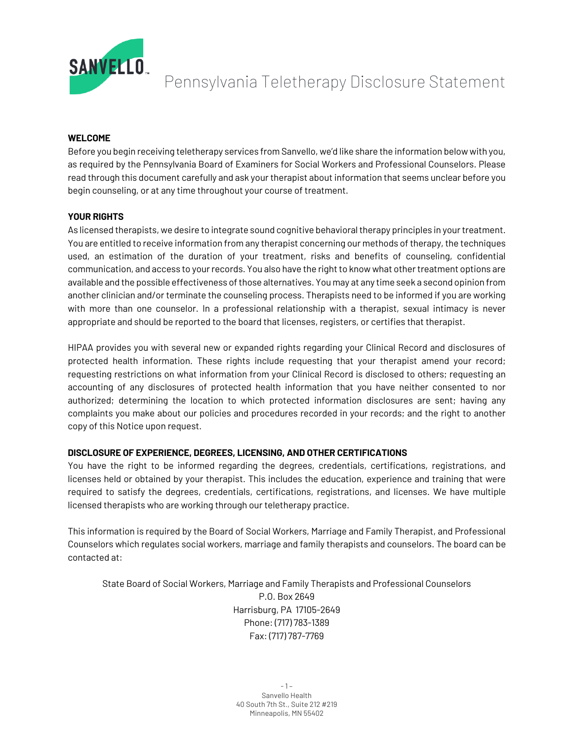

Pennsylvania Teletherapy Disclosure Statement

## **WELCOME**

Before you begin receiving teletherapy services from Sanvello, we'd like share the information below with you, as required by the Pennsylvania Board of Examiners for Social Workers and Professional Counselors. Please read through this document carefully and ask your therapist about information that seems unclear before you begin counseling, or at any time throughout your course of treatment.

## **YOUR RIGHTS**

As licensed therapists, we desire to integrate sound cognitive behavioral therapy principles in your treatment. You are entitled to receive information from any therapist concerning our methods of therapy, the techniques used, an estimation of the duration of your treatment, risks and benefits of counseling, confidential communication, and access to your records. You also have the right to know what other treatment options are available and the possible effectiveness of those alternatives. You may at any time seek a second opinion from another clinician and/or terminate the counseling process. Therapists need to be informed if you are working with more than one counselor. In a professional relationship with a therapist, sexual intimacy is never appropriate and should be reported to the board that licenses, registers, or certifies that therapist.

HIPAA provides you with several new or expanded rights regarding your Clinical Record and disclosures of protected health information. These rights include requesting that your therapist amend your record; requesting restrictions on what information from your Clinical Record is disclosed to others; requesting an accounting of any disclosures of protected health information that you have neither consented to nor authorized; determining the location to which protected information disclosures are sent; having any complaints you make about our policies and procedures recorded in your records; and the right to another copy of this Notice upon request.

# **DISCLOSURE OF EXPERIENCE, DEGREES, LICENSING, AND OTHER CERTIFICATIONS**

You have the right to be informed regarding the degrees, credentials, certifications, registrations, and licenses held or obtained by your therapist. This includes the education, experience and training that were required to satisfy the degrees, credentials, certifications, registrations, and licenses. We have multiple licensed therapists who are working through our teletherapy practice.

This information is required by the Board of Social Workers, Marriage and Family Therapist, and Professional Counselors which regulates social workers, marriage and family therapists and counselors. The board can be contacted at:

State Board of Social Workers, Marriage and Family Therapists and Professional Counselors P.O. Box 2649 Harrisburg, PA 17105-2649 Phone: (717) 783-1389 Fax: (717) 787-7769